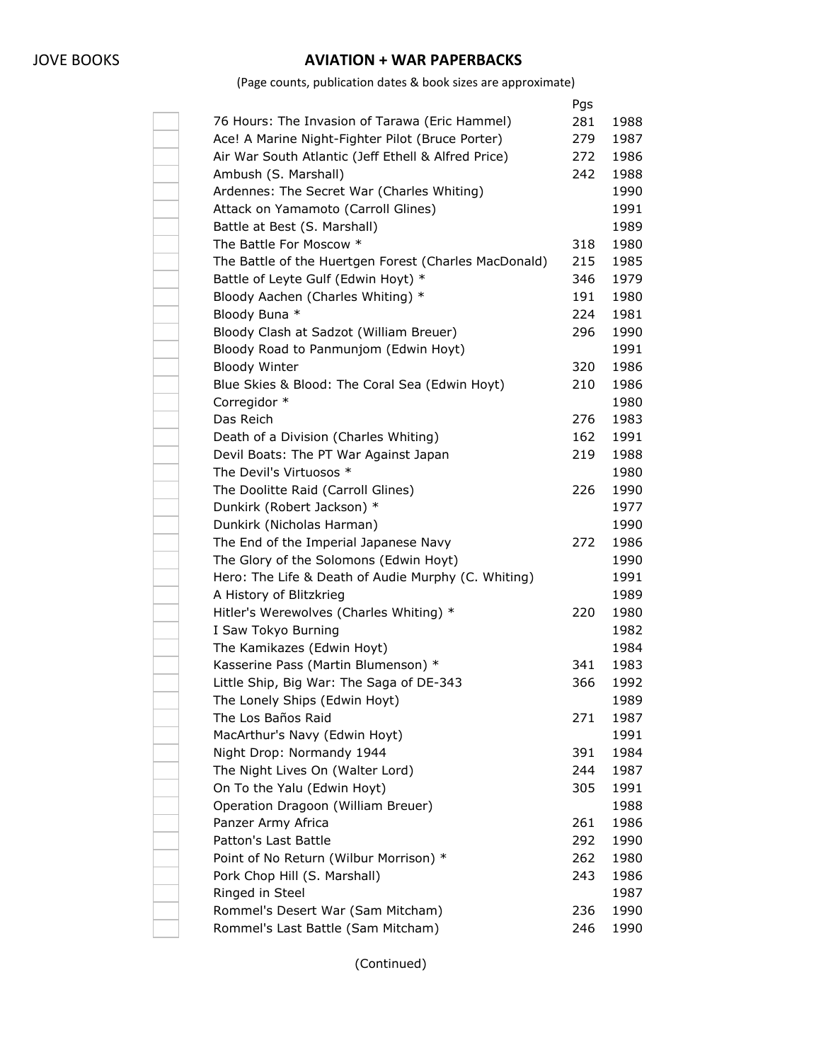## JOVE BOOKS **AVIATION + WAR PAPERBACKS**

| (Page counts, publication dates & book sizes are approximate) |  |
|---------------------------------------------------------------|--|
|---------------------------------------------------------------|--|

|                                                       | Pgs |      |
|-------------------------------------------------------|-----|------|
| 76 Hours: The Invasion of Tarawa (Eric Hammel)        | 281 | 1988 |
| Ace! A Marine Night-Fighter Pilot (Bruce Porter)      | 279 | 1987 |
| Air War South Atlantic (Jeff Ethell & Alfred Price)   | 272 | 1986 |
| Ambush (S. Marshall)                                  | 242 | 1988 |
| Ardennes: The Secret War (Charles Whiting)            |     | 1990 |
| Attack on Yamamoto (Carroll Glines)                   |     | 1991 |
| Battle at Best (S. Marshall)                          |     | 1989 |
| The Battle For Moscow *                               | 318 | 1980 |
| The Battle of the Huertgen Forest (Charles MacDonald) | 215 | 1985 |
| Battle of Leyte Gulf (Edwin Hoyt) *                   | 346 | 1979 |
| Bloody Aachen (Charles Whiting) *                     | 191 | 1980 |
| Bloody Buna *                                         | 224 | 1981 |
| Bloody Clash at Sadzot (William Breuer)               | 296 | 1990 |
| Bloody Road to Panmunjom (Edwin Hoyt)                 |     | 1991 |
| <b>Bloody Winter</b>                                  | 320 | 1986 |
| Blue Skies & Blood: The Coral Sea (Edwin Hoyt)        | 210 | 1986 |
| Corregidor *                                          |     | 1980 |
| Das Reich                                             | 276 | 1983 |
| Death of a Division (Charles Whiting)                 | 162 | 1991 |
| Devil Boats: The PT War Against Japan                 | 219 | 1988 |
| The Devil's Virtuosos *                               |     | 1980 |
| The Doolitte Raid (Carroll Glines)                    | 226 | 1990 |
| Dunkirk (Robert Jackson) *                            |     | 1977 |
| Dunkirk (Nicholas Harman)                             |     | 1990 |
| The End of the Imperial Japanese Navy                 | 272 | 1986 |
| The Glory of the Solomons (Edwin Hoyt)                |     | 1990 |
| Hero: The Life & Death of Audie Murphy (C. Whiting)   |     | 1991 |
| A History of Blitzkrieg                               |     | 1989 |
| Hitler's Werewolves (Charles Whiting) *               | 220 | 1980 |
| I Saw Tokyo Burning                                   |     | 1982 |
| The Kamikazes (Edwin Hoyt)                            |     | 1984 |
| Kasserine Pass (Martin Blumenson) *                   | 341 | 1983 |
| Little Ship, Big War: The Saga of DE-343              | 366 | 1992 |
| The Lonely Ships (Edwin Hoyt)                         |     | 1989 |
| The Los Baños Raid                                    | 271 | 1987 |
| MacArthur's Navy (Edwin Hoyt)                         |     | 1991 |
| Night Drop: Normandy 1944                             | 391 | 1984 |
| The Night Lives On (Walter Lord)                      | 244 | 1987 |
| On To the Yalu (Edwin Hoyt)                           | 305 | 1991 |
| Operation Dragoon (William Breuer)                    |     | 1988 |
| Panzer Army Africa                                    | 261 | 1986 |
| Patton's Last Battle                                  | 292 | 1990 |
| Point of No Return (Wilbur Morrison) *                | 262 | 1980 |
| Pork Chop Hill (S. Marshall)                          | 243 | 1986 |
| Ringed in Steel                                       |     | 1987 |
| Rommel's Desert War (Sam Mitcham)                     | 236 | 1990 |
| Rommel's Last Battle (Sam Mitcham)                    | 246 | 1990 |

(Continued)